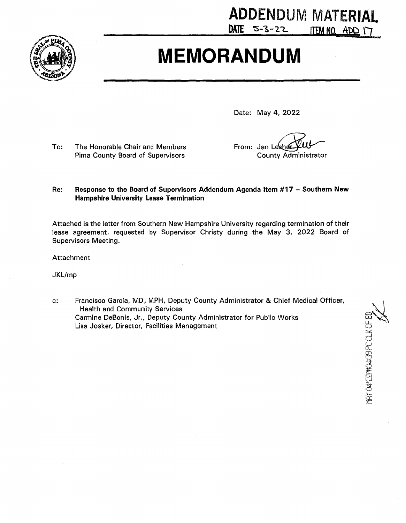

## **MEMORANDUM**

Date: May 4, 2022

 $DATE$  5-3-22

To: The Honorable Chair and Members Pima County Board of Supervisors

From: Jan Lesher **County Administrator** 

**ADDENDUM MATERIAL** 

ITEM NO. ADD 17

**THE DASSWORD OF BLACK** 

## Re: Response to the Board of Supervisors Addendum Agenda Item #17 - Southern New **Hampshire University Lease Termination**

Attached is the letter from Southern New Hampshire University regarding termination of their lease agreement, requested by Supervisor Christy during the May 3, 2022 Board of Supervisors Meeting.

Attachment

JKL/mp

Francisco García, MD, MPH, Deputy County Administrator & Chief Medical Officer,  $c$ : **Health and Community Services** Carmine DeBonis, Jr., Deputy County Administrator for Public Works Lisa Josker, Director, Facilities Management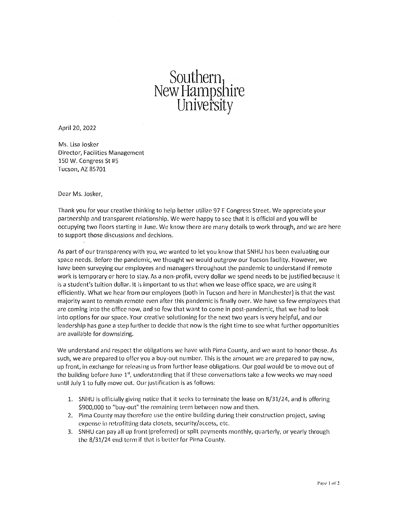## $\mathrm{Soulhern}_1$ New Hampshire **U11iversity**

April 20, 2022

Ms. Lisa Josker Director, Facilities Management 150 W. Congress St #5 Tucson, AZ 85701

Dear Ms. Josker,

Thank you for your creative thinking to help better utilize 97 E Congress Street. We appreciate your partnership and transparent relationship. We were happy to sec that it is official and you will be occupying two floors starting in June. We know there are rnany details to work through, and we are here to support those discussions and decisions.

As part of our transparency with you, we wanted to let you know that SNHU has been evaluating our space needs. Before the pandemic, we thought we would outgrow our Tucson facility. However, we have been surveying our employees and managers throughout the pandemic to understand if rernote work is temporary or here to stay, As a non-profit, every dollar we spend needs to be justified because it is a student's tuition dollar. It is important to us that when we lease office space, we are using it efficiently. What we hear from our employees (both in Tucson and here in Manchester) is that the vast majority want to remain remote even after this pandemic is finally over. We have so few employees that are coming into the office now, and so few that want to come in post-pandemic, that we had to look into options for our space. Your creative solutioning for the next two years is very helpful, and our leadership has gone a step further to decide that now is the right time to see what further opportunities are available for downsizing.

We understand and respect the obligations we have with Pima County, and we want to honor those. As such, we are prepared to offer you a buy-out number. This is the amount we are prepared to pay now, up front, in exchange for releasing us from further lease obligations. Our goal would be to move out of the building before June  $1<sup>st</sup>$ , understanding that if these conversations take a few weeks we may need until July 1 to fully move out. Our justification is as follows:

- 1. SNHU is officially giving notice that it seeks to terminate the lease on 8/31/24, and is offoring \$900,000 to "buy-out" the remaining term between now and then.
- 2. Plima County may therefore use the entire building during their construction project, saving expense in retrofitting data closets, security/access, etc.
- 3. SNHU can pay all up front (preferred) or split payments monthly, quarterly, or yearly through the  $8/31/24$  end term if that is better for Pima County.